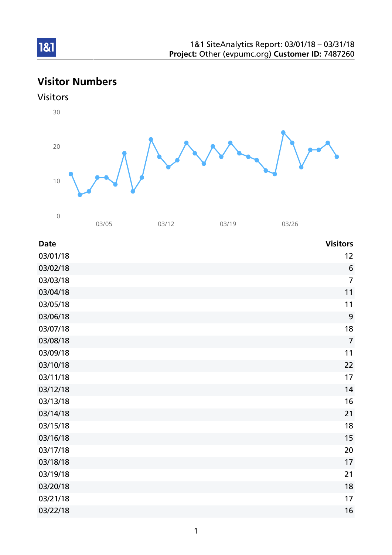# Visitor Numbers





| <b>Date</b> | <b>Visitors</b> |
|-------------|-----------------|
| 03/01/18    | 12              |
| 03/02/18    | $6\phantom{1}6$ |
| 03/03/18    | $\overline{7}$  |
| 03/04/18    | 11              |
| 03/05/18    | 11              |
| 03/06/18    | 9               |
| 03/07/18    | 18              |
| 03/08/18    | $\overline{7}$  |
| 03/09/18    | 11              |
| 03/10/18    | 22              |
| 03/11/18    | 17              |
| 03/12/18    | 14              |
| 03/13/18    | 16              |
| 03/14/18    | 21              |
| 03/15/18    | 18              |
| 03/16/18    | 15              |
| 03/17/18    | 20              |
| 03/18/18    | 17              |
| 03/19/18    | 21              |
| 03/20/18    | 18              |
| 03/21/18    | 17              |
| 03/22/18    | 16              |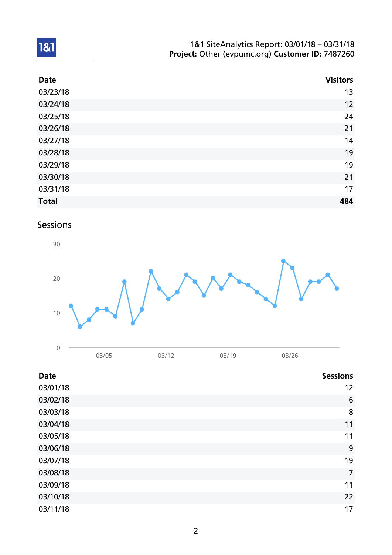| 1&1 SiteAnalytics Report: 03/01/18 - 03/31/18    |
|--------------------------------------------------|
| Project: Other (evpumc.org) Customer ID: 7487260 |

| <b>Date</b>  | <b>Visitors</b> |
|--------------|-----------------|
| 03/23/18     | 13              |
| 03/24/18     | 12              |
| 03/25/18     | 24              |
| 03/26/18     | 21              |
| 03/27/18     | 14              |
| 03/28/18     | 19              |
| 03/29/18     | 19              |
| 03/30/18     | 21              |
| 03/31/18     | 17              |
| <b>Total</b> | 484             |

# Sessions



| 03/05 | 03/12 | 03/19 | 03/26 |
|-------|-------|-------|-------|
|       |       |       |       |

| <b>Date</b> | <b>Sessions</b> |
|-------------|-----------------|
| 03/01/18    | 12              |
| 03/02/18    | $6\phantom{1}6$ |
| 03/03/18    | 8               |
| 03/04/18    | 11              |
| 03/05/18    | 11              |
| 03/06/18    | 9               |
| 03/07/18    | 19              |
| 03/08/18    | $\overline{7}$  |
| 03/09/18    | 11              |
| 03/10/18    | 22              |
| 03/11/18    | 17              |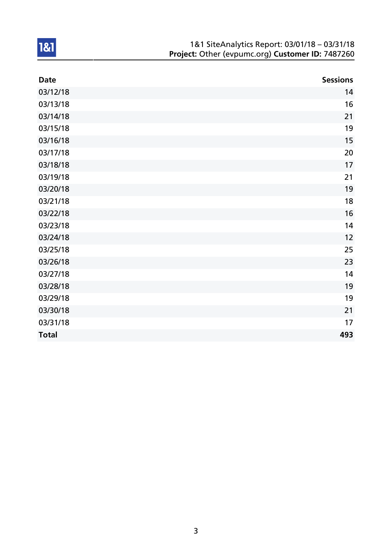| 1&1 SiteAnalytics Report: 03/01/18 - 03/31/18    |
|--------------------------------------------------|
| Project: Other (evpumc.org) Customer ID: 7487260 |

| <b>Date</b>  | <b>Sessions</b> |
|--------------|-----------------|
| 03/12/18     | 14              |
| 03/13/18     | 16              |
| 03/14/18     | 21              |
| 03/15/18     | 19              |
| 03/16/18     | 15              |
| 03/17/18     | 20              |
| 03/18/18     | 17              |
| 03/19/18     | 21              |
| 03/20/18     | 19              |
| 03/21/18     | 18              |
| 03/22/18     | 16              |
| 03/23/18     | 14              |
| 03/24/18     | 12              |
| 03/25/18     | 25              |
| 03/26/18     | 23              |
| 03/27/18     | 14              |
| 03/28/18     | 19              |
| 03/29/18     | 19              |
| 03/30/18     | 21              |
| 03/31/18     | 17              |
| <b>Total</b> | 493             |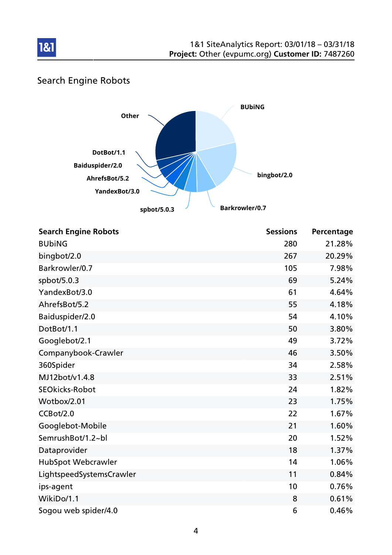

# Search Engine Robots

181



| <b>Search Engine Robots</b> | <b>Sessions</b> | Percentage |
|-----------------------------|-----------------|------------|
| <b>BUbiNG</b>               | 280             | 21.28%     |
| bingbot/2.0                 | 267             | 20.29%     |
| Barkrowler/0.7              | 105             | 7.98%      |
| spbot/5.0.3                 | 69              | 5.24%      |
| YandexBot/3.0               | 61              | 4.64%      |
| AhrefsBot/5.2               | 55              | 4.18%      |
| Baiduspider/2.0             | 54              | 4.10%      |
| DotBot/1.1                  | 50              | 3.80%      |
| Googlebot/2.1               | 49              | 3.72%      |
| Companybook-Crawler         | 46              | 3.50%      |
| 360Spider                   | 34              | 2.58%      |
| MJ12bot/v1.4.8              | 33              | 2.51%      |
| <b>SEOkicks-Robot</b>       | 24              | 1.82%      |
| Wotbox/2.01                 | 23              | 1.75%      |
| CCBot/2.0                   | 22              | 1.67%      |
| Googlebot-Mobile            | 21              | 1.60%      |
| SemrushBot/1.2~bl           | 20              | 1.52%      |
| Dataprovider                | 18              | 1.37%      |
| HubSpot Webcrawler          | 14              | 1.06%      |
| LightspeedSystemsCrawler    | 11              | 0.84%      |
| ips-agent                   | 10              | 0.76%      |
| WikiDo/1.1                  | 8               | 0.61%      |
| Sogou web spider/4.0        | 6               | 0.46%      |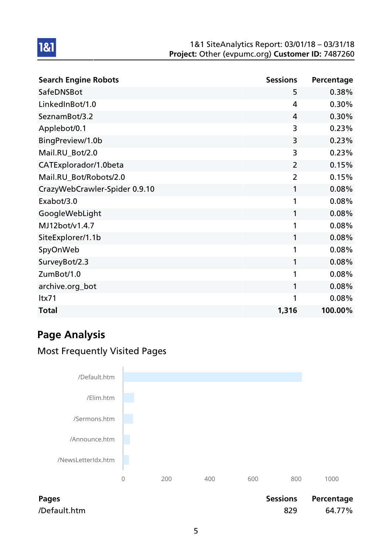| <b>Search Engine Robots</b>   | <b>Sessions</b> | Percentage |
|-------------------------------|-----------------|------------|
| SafeDNSBot                    | 5               | 0.38%      |
| LinkedInBot/1.0               | 4               | 0.30%      |
| SeznamBot/3.2                 | 4               | 0.30%      |
| Applebot/0.1                  | 3               | 0.23%      |
| BingPreview/1.0b              | 3               | 0.23%      |
| Mail.RU_Bot/2.0               | 3               | 0.23%      |
| CATExplorador/1.0beta         | $\overline{2}$  | 0.15%      |
| Mail.RU_Bot/Robots/2.0        | $\overline{2}$  | 0.15%      |
| CrazyWebCrawler-Spider 0.9.10 | 1               | 0.08%      |
| Exabot/3.0                    | 1               | 0.08%      |
| GoogleWebLight                | 1               | 0.08%      |
| MJ12bot/v1.4.7                | 1               | 0.08%      |
| SiteExplorer/1.1b             | 1               | 0.08%      |
| SpyOnWeb                      | 1               | 0.08%      |
| SurveyBot/2.3                 | 1               | 0.08%      |
| ZumBot/1.0                    | 1               | 0.08%      |
| archive.org_bot               | 1               | 0.08%      |
| ltx71                         | 1               | 0.08%      |
| <b>Total</b>                  | 1,316           | 100.00%    |

# Page Analysis

1&1

## Most Frequently Visited Pages



Pages **Pages** Pages **Pages** Percentage **Pages Percentage** /Default.htm 829 64.77%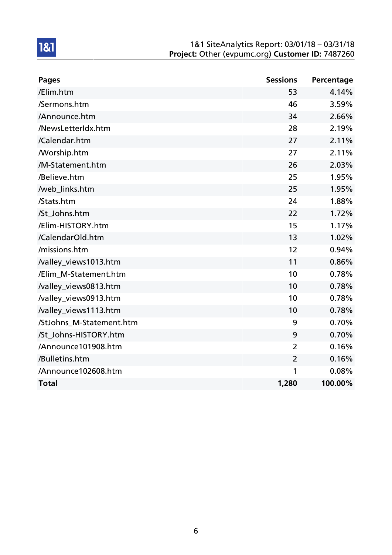| <b>Pages</b>             | <b>Sessions</b> | Percentage |
|--------------------------|-----------------|------------|
| /Elim.htm                | 53              | 4.14%      |
| /Sermons.htm             | 46              | 3.59%      |
| /Announce.htm            | 34              | 2.66%      |
| /NewsLetterIdx.htm       | 28              | 2.19%      |
| /Calendar.htm            | 27              | 2.11%      |
| <b>Morship.htm</b>       | 27              | 2.11%      |
| /M-Statement.htm         | 26              | 2.03%      |
| /Believe.htm             | 25              | 1.95%      |
| /web_links.htm           | 25              | 1.95%      |
| /Stats.htm               | 24              | 1.88%      |
| /St Johns.htm            | 22              | 1.72%      |
| /Elim-HISTORY.htm        | 15              | 1.17%      |
| /CalendarOld.htm         | 13              | 1.02%      |
| /missions.htm            | 12              | 0.94%      |
| /valley_views1013.htm    | 11              | 0.86%      |
| /Elim_M-Statement.htm    | 10              | 0.78%      |
| /valley_views0813.htm    | 10              | 0.78%      |
| /valley_views0913.htm    | 10              | 0.78%      |
| /valley_views1113.htm    | 10              | 0.78%      |
| /StJohns_M-Statement.htm | 9               | 0.70%      |
| /St_Johns-HISTORY.htm    | 9               | 0.70%      |
| /Announce101908.htm      | $\overline{2}$  | 0.16%      |
| /Bulletins.htm           | $\overline{2}$  | 0.16%      |
| /Announce102608.htm      | 1               | 0.08%      |
| <b>Total</b>             | 1,280           | 100.00%    |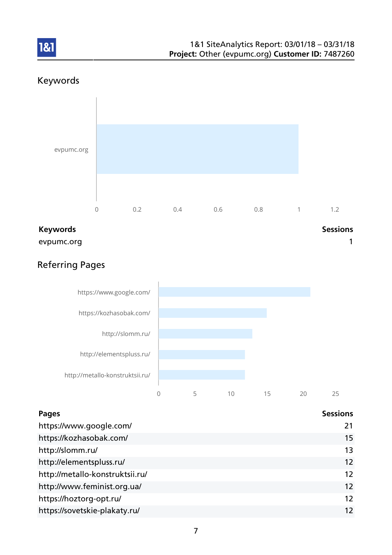

## Keywords

1&1



evpumc.org and the contract of the contract of the contract of the contract of the contract of the contract of the contract of the contract of the contract of the contract of the contract of the contract of the contract of

## Referring Pages



| Pages                           | <b>Sessions</b> |
|---------------------------------|-----------------|
| https://www.google.com/         | 21              |
| https://kozhasobak.com/         | 15              |
| http://slomm.ru/                | 13              |
| http://elementspluss.ru/        | 12              |
| http://metallo-konstruktsii.ru/ | 12              |
| http://www.feminist.org.ua/     | 12              |
| https://hoztorg-opt.ru/         | 12              |
| https://sovetskie-plakaty.ru/   | 12              |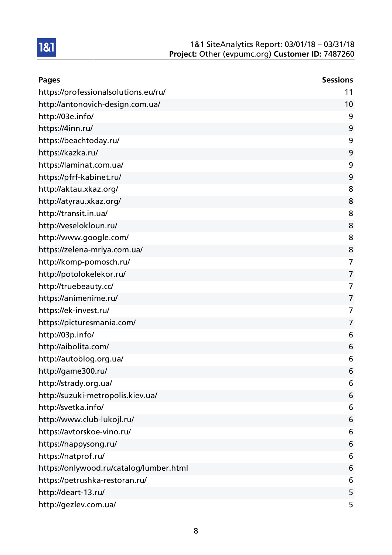| <b>Pages</b>                            | <b>Sessions</b> |
|-----------------------------------------|-----------------|
| https://professionalsolutions.eu/ru/    | 11              |
| http://antonovich-design.com.ua/        | 10              |
| http://03e.info/                        | 9               |
| https://4inn.ru/                        | 9               |
| https://beachtoday.ru/                  | 9               |
| https://kazka.ru/                       | 9               |
| https://laminat.com.ua/                 | 9               |
| https://pfrf-kabinet.ru/                | 9               |
| http://aktau.xkaz.org/                  | 8               |
| http://atyrau.xkaz.org/                 | 8               |
| http://transit.in.ua/                   | 8               |
| http://veselokloun.ru/                  | 8               |
| http://www.google.com/                  | 8               |
| https://zelena-mriya.com.ua/            | 8               |
| http://komp-pomosch.ru/                 | 7               |
| http://potolokelekor.ru/                | 7               |
| http://truebeauty.cc/                   | 7               |
| https://animenime.ru/                   | 7               |
| https://ek-invest.ru/                   | 7               |
| https://picturesmania.com/              | 7               |
| http://03p.info/                        | 6               |
| http://aibolita.com/                    | 6               |
| http://autoblog.org.ua/                 | 6               |
| http://game300.ru/                      | 6               |
| http://strady.org.ua/                   | 6               |
| http://suzuki-metropolis.kiev.ua/       | 6               |
| http://svetka.info/                     | 6               |
| http://www.club-lukojl.ru/              | 6               |
| https://avtorskoe-vino.ru/              | 6               |
| https://happysong.ru/                   | 6               |
| https://natprof.ru/                     | 6               |
| https://onlywood.ru/catalog/lumber.html | 6               |
| https://petrushka-restoran.ru/          | 6               |
| http://deart-13.ru/                     | 5               |
| http://gezlev.com.ua/                   | 5               |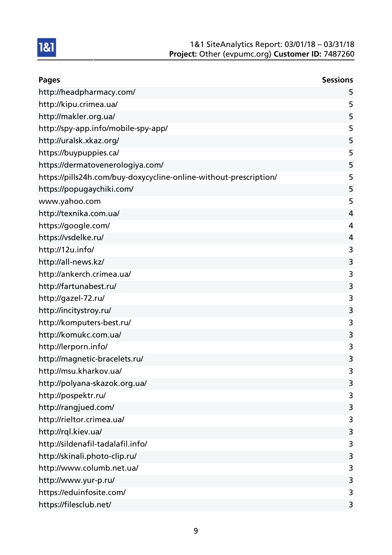| <b>Pages</b>                                                      | <b>Sessions</b> |
|-------------------------------------------------------------------|-----------------|
| http://headpharmacy.com/                                          | 5               |
| http://kipu.crimea.ua/                                            | 5               |
| http://makler.org.ua/                                             | 5               |
| http://spy-app.info/mobile-spy-app/                               | 5               |
| http://uralsk.xkaz.org/                                           | 5               |
| https://buypuppies.ca/                                            | 5               |
| https://dermatovenerologiya.com/                                  | 5               |
| https://pills24h.com/buy-doxycycline-online-without-prescription/ | 5               |
| https://popugaychiki.com/                                         | 5               |
| www.yahoo.com                                                     | 5               |
| http://texnika.com.ua/                                            | 4               |
| https://google.com/                                               | 4               |
| https://vsdelke.ru/                                               | 4               |
| http://12u.info/                                                  | 3               |
| http://all-news.kz/                                               | 3               |
| http://ankerch.crimea.ua/                                         | 3               |
| http://fartunabest.ru/                                            | 3               |
| http://gazel-72.ru/                                               | 3               |
| http://incitystroy.ru/                                            | 3               |
| http://komputers-best.ru/                                         | 3               |
| http://komukc.com.ua/                                             | 3               |
| http://lerporn.info/                                              | 3               |
| http://magnetic-bracelets.ru/                                     | 3               |
| http://msu.kharkov.ua/                                            | 3               |
| http://polyana-skazok.org.ua/                                     | 3               |
| http://pospektr.ru/                                               | 3               |
| http://rangjued.com/                                              | 3               |
| http://rieltor.crimea.ua/                                         | 3               |
| http://rql.kiev.ua/                                               | 3               |
| http://sildenafil-tadalafil.info/                                 | 3               |
| http://skinali.photo-clip.ru/                                     | 3               |
| http://www.columb.net.ua/                                         | 3               |
| http://www.yur-p.ru/                                              | 3               |
| https://eduinfosite.com/                                          | 3               |
| https://filesclub.net/                                            | 3               |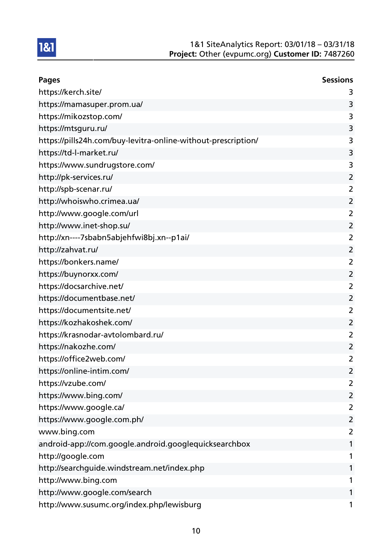

| <b>Pages</b>                                                  | <b>Sessions</b> |
|---------------------------------------------------------------|-----------------|
| https://kerch.site/                                           | 3               |
| https://mamasuper.prom.ua/                                    | 3               |
| https://mikozstop.com/                                        | 3               |
| https://mtsguru.ru/                                           | 3               |
| https://pills24h.com/buy-levitra-online-without-prescription/ | 3               |
| https://td-l-market.ru/                                       | 3               |
| https://www.sundrugstore.com/                                 | 3               |
| http://pk-services.ru/                                        | $\overline{2}$  |
| http://spb-scenar.ru/                                         | $\overline{2}$  |
| http://whoiswho.crimea.ua/                                    | $\overline{2}$  |
| http://www.google.com/url                                     | $\overline{2}$  |
| http://www.inet-shop.su/                                      | $\overline{2}$  |
| http://xn----7sbabn5abjehfwi8bj.xn--p1ai/                     | $\overline{2}$  |
| http://zahvat.ru/                                             | 2               |
| https://bonkers.name/                                         | $\overline{2}$  |
| https://buynorxx.com/                                         | $\overline{2}$  |
| https://docsarchive.net/                                      | 2               |
| https://documentbase.net/                                     | $\overline{2}$  |
| https://documentsite.net/                                     | $\overline{2}$  |
| https://kozhakoshek.com/                                      | 2               |
| https://krasnodar-avtolombard.ru/                             | $\overline{2}$  |
| https://nakozhe.com/                                          | $\overline{2}$  |
| https://office2web.com/                                       | $\overline{2}$  |
| https://online-intim.com/                                     | $\overline{2}$  |
| https://vzube.com/                                            | 2               |
| https://www.bing.com/                                         | $\overline{2}$  |
| https://www.google.ca/                                        | $\overline{2}$  |
| https://www.google.com.ph/                                    | $\overline{2}$  |
| www.bing.com                                                  | 2               |
| android-app://com.google.android.googlequicksearchbox         | 1               |
| http://google.com                                             | 1               |
| http://searchguide.windstream.net/index.php                   | 1               |
| http://www.bing.com                                           | 1               |
| http://www.google.com/search                                  | 1               |
| http://www.susumc.org/index.php/lewisburg                     | 1               |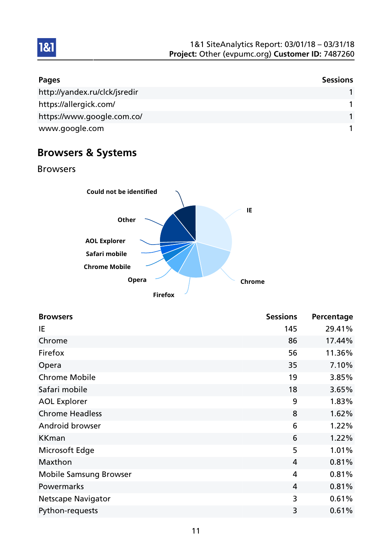

| <b>Pages</b>                  | <b>Sessions</b> |
|-------------------------------|-----------------|
| http://yandex.ru/clck/jsredir |                 |
| https://allergick.com/        |                 |
| https://www.google.com.co/    |                 |
| www.google.com                |                 |

# Browsers & Systems

Browsers



| <b>Browsers</b>               | <b>Sessions</b> | Percentage |
|-------------------------------|-----------------|------------|
| IE                            | 145             | 29.41%     |
| Chrome                        | 86              | 17.44%     |
| Firefox                       | 56              | 11.36%     |
| Opera                         | 35              | 7.10%      |
| <b>Chrome Mobile</b>          | 19              | 3.85%      |
| Safari mobile                 | 18              | 3.65%      |
| <b>AOL Explorer</b>           | 9               | 1.83%      |
| <b>Chrome Headless</b>        | 8               | 1.62%      |
| Android browser               | 6               | 1.22%      |
| <b>KKman</b>                  | 6               | 1.22%      |
| Microsoft Edge                | 5               | 1.01%      |
| Maxthon                       | 4               | 0.81%      |
| <b>Mobile Samsung Browser</b> | 4               | 0.81%      |
| Powermarks                    | $\overline{4}$  | 0.81%      |
| <b>Netscape Navigator</b>     | 3               | 0.61%      |
| Python-requests               | 3               | 0.61%      |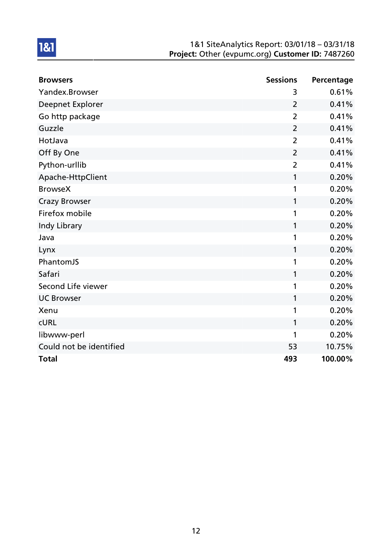| <b>Browsers</b>         | <b>Sessions</b> | Percentage |
|-------------------------|-----------------|------------|
| Yandex.Browser          | 3               | 0.61%      |
| Deepnet Explorer        | $\overline{2}$  | 0.41%      |
| Go http package         | $\overline{2}$  | 0.41%      |
| Guzzle                  | $\overline{2}$  | 0.41%      |
| HotJava                 | $\overline{2}$  | 0.41%      |
| Off By One              | 2               | 0.41%      |
| Python-urllib           | $\overline{2}$  | 0.41%      |
| Apache-HttpClient       | 1               | 0.20%      |
| <b>BrowseX</b>          | 1               | 0.20%      |
| <b>Crazy Browser</b>    | 1               | 0.20%      |
| Firefox mobile          | 1               | 0.20%      |
| Indy Library            | 1               | 0.20%      |
| Java                    | 1               | 0.20%      |
| Lynx                    | 1               | 0.20%      |
| PhantomJS               | 1               | 0.20%      |
| Safari                  | 1               | 0.20%      |
| Second Life viewer      | 1               | 0.20%      |
| <b>UC Browser</b>       | 1               | 0.20%      |
| Xenu                    | 1               | 0.20%      |
| <b>CURL</b>             | 1               | 0.20%      |
| libwww-perl             | 1               | 0.20%      |
| Could not be identified | 53              | 10.75%     |
| <b>Total</b>            | 493             | 100.00%    |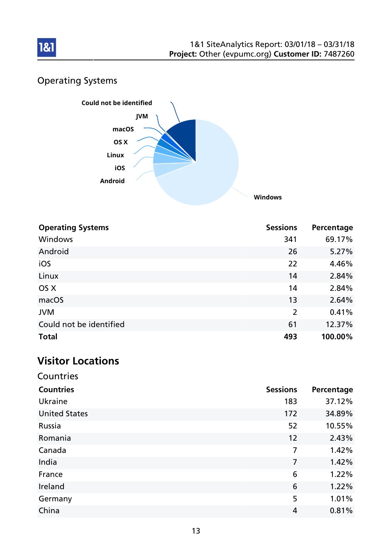

# Operating Systems



| <b>Operating Systems</b> | <b>Sessions</b> | Percentage |
|--------------------------|-----------------|------------|
| Windows                  | 341             | 69.17%     |
| Android                  | 26              | 5.27%      |
| iOS                      | 22              | 4.46%      |
| Linux                    | 14              | 2.84%      |
| OS X                     | 14              | 2.84%      |
| macOS                    | 13              | 2.64%      |
| <b>JVM</b>               | $\overline{2}$  | 0.41%      |
| Could not be identified  | 61              | 12.37%     |
| <b>Total</b>             | 493             | 100.00%    |

# Visitor Locations

| Countries            |                 |            |
|----------------------|-----------------|------------|
| <b>Countries</b>     | <b>Sessions</b> | Percentage |
| Ukraine              | 183             | 37.12%     |
| <b>United States</b> | 172             | 34.89%     |
| Russia               | 52              | 10.55%     |
| Romania              | 12              | 2.43%      |
| Canada               | 7               | 1.42%      |
| India                | $\overline{7}$  | 1.42%      |
| France               | 6               | 1.22%      |
| Ireland              | 6               | 1.22%      |
| Germany              | 5               | 1.01%      |
| China                | 4               | 0.81%      |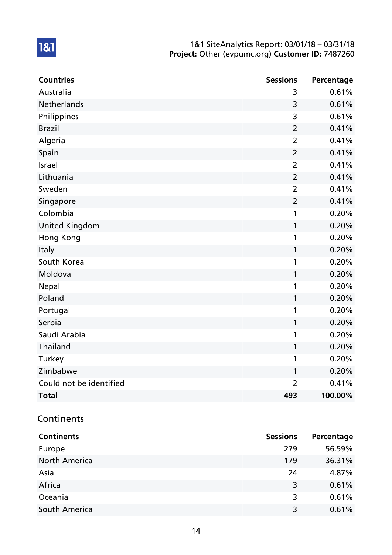| <b>Countries</b>        | <b>Sessions</b> | Percentage |
|-------------------------|-----------------|------------|
| Australia               | 3               | 0.61%      |
| <b>Netherlands</b>      | 3               | 0.61%      |
| Philippines             | 3               | 0.61%      |
| <b>Brazil</b>           | $\overline{2}$  | 0.41%      |
| Algeria                 | $\overline{2}$  | 0.41%      |
| Spain                   | $\overline{2}$  | 0.41%      |
| Israel                  | $\overline{2}$  | 0.41%      |
| Lithuania               | $\overline{2}$  | 0.41%      |
| Sweden                  | $\overline{2}$  | 0.41%      |
| Singapore               | $\overline{2}$  | 0.41%      |
| Colombia                | 1               | 0.20%      |
| <b>United Kingdom</b>   | 1               | 0.20%      |
| <b>Hong Kong</b>        | 1               | 0.20%      |
| Italy                   | $\mathbf{1}$    | 0.20%      |
| South Korea             | 1               | 0.20%      |
| Moldova                 | 1               | 0.20%      |
| <b>Nepal</b>            | 1               | 0.20%      |
| Poland                  | 1               | 0.20%      |
| Portugal                | 1               | 0.20%      |
| Serbia                  | 1               | 0.20%      |
| Saudi Arabia            | 1               | 0.20%      |
| Thailand                | 1               | 0.20%      |
| Turkey                  | 1               | 0.20%      |
| Zimbabwe                | 1               | 0.20%      |
| Could not be identified | $\overline{2}$  | 0.41%      |
| <b>Total</b>            | 493             | 100.00%    |

## **Continents**

| <b>Continents</b>    | <b>Sessions</b> | Percentage |
|----------------------|-----------------|------------|
| Europe               | 279             | 56.59%     |
| <b>North America</b> | 179             | 36.31%     |
| Asia                 | 24              | 4.87%      |
| Africa               | 3               | 0.61%      |
| Oceania              | 3               | 0.61%      |
| South America        | 3               | 0.61%      |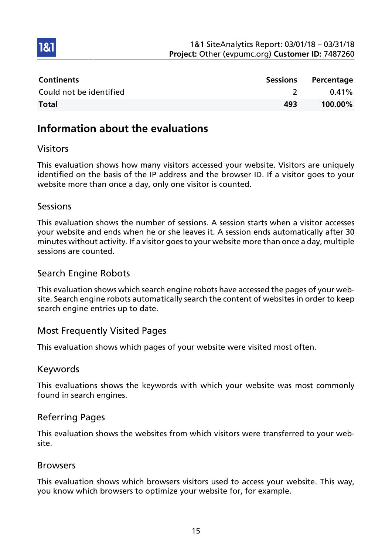

| <b>Continents</b>       | Sessions | Percentage |
|-------------------------|----------|------------|
| Could not be identified |          | $0.41\%$   |
| <b>Total</b>            | 493      | 100.00%    |

## Information about the evaluations

### Visitors

1&1

This evaluation shows how many visitors accessed your website. Visitors are uniquely identified on the basis of the IP address and the browser ID. If a visitor goes to your website more than once a day, only one visitor is counted.

### Sessions

This evaluation shows the number of sessions. A session starts when a visitor accesses your website and ends when he or she leaves it. A session ends automatically after 30 minutes without activity. If a visitor goes to your website more than once a day, multiple sessions are counted.

### Search Engine Robots

This evaluation shows which search engine robots have accessed the pages of your website. Search engine robots automatically search the content of websites in order to keep search engine entries up to date.

### Most Frequently Visited Pages

This evaluation shows which pages of your website were visited most often.

### Keywords

This evaluations shows the keywords with which your website was most commonly found in search engines.

### Referring Pages

This evaluation shows the websites from which visitors were transferred to your website.

### Browsers

This evaluation shows which browsers visitors used to access your website. This way, you know which browsers to optimize your website for, for example.